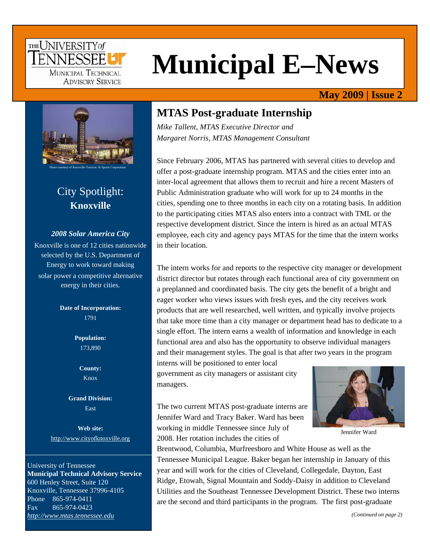### THE UNIVERSITY of FNNFSSFF MUNICIPAL TECHNICAL **ADVISORY SERVICE**

# **Municipal E–News**

### **May 2009 | Issue 2**



# City Spotlight: **Knoxville**

#### *2008 Solar America City*

Knoxville is one of 12 cities nationwide selected by the U.S. Department of Energy to work toward making solar power a competitive alternative energy in their cities.

> **Date of Incorporation:**  1791

> > **Population:**  173,890

> > > **County:**  Knox

**Grand Division:**  East

**Web site:**  http://www.cityofknoxville.org

University of Tennessee **Municipal Technical Advisory Service**  600 Henley Street, Suite 120 Knoxville, Tennessee 37996-4105 Phone 865-974-0411 Fax 865-974-0423 *http://www.mtas.tennessee.edu*

### **MTAS Post-graduate Internship**

*Mike Tallent, MTAS Executive Director and Margaret Norris, MTAS Management Consultant* 

Since February 2006, MTAS has partnered with several cities to develop and offer a post-graduate internship program. MTAS and the cities enter into an inter-local agreement that allows them to recruit and hire a recent Masters of Public Administration graduate who will work for up to 24 months in the cities, spending one to three months in each city on a rotating basis. In addition to the participating cities MTAS also enters into a contract with TML or the respective development district. Since the intern is hired as an actual MTAS employee, each city and agency pays MTAS for the time that the intern works in their location.

The intern works for and reports to the respective city manager or development district director but rotates through each functional area of city government on a preplanned and coordinated basis. The city gets the benefit of a bright and eager worker who views issues with fresh eyes, and the city receives work products that are well researched, well written, and typically involve projects that take more time than a city manager or department head has to dedicate to a single effort. The intern earns a wealth of information and knowledge in each functional area and also has the opportunity to observe individual managers and their management styles. The goal is that after two years in the program

interns will be positioned to enter local government as city managers or assistant city managers.

The two current MTAS post-graduate interns are Jennifer Ward and Tracy Baker. Ward has been working in middle Tennessee since July of 2008. Her rotation includes the cities of



Jennifer Ward

Brentwood, Columbia, Murfreesboro and White House as well as the Tennessee Municipal League. Baker began her internship in January of this year and will work for the cities of Cleveland, Collegedale, Dayton, East Ridge, Etowah, Signal Mountain and Soddy-Daisy in addition to Cleveland Utilities and the Southeast Tennessee Development District. These two interns are the second and third participants in the program. The first post-graduate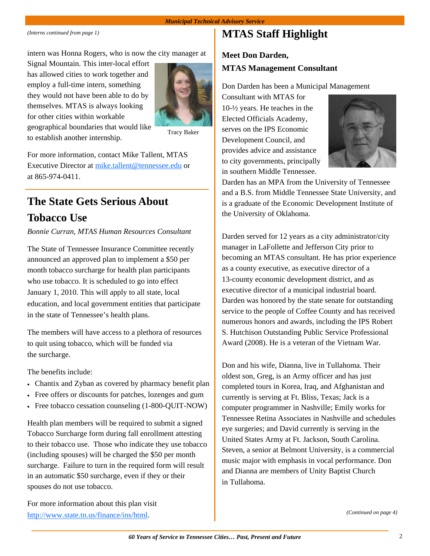*(Interns continued from page 1)* 

intern was Honna Rogers, who is now the city manager at

Signal Mountain. This inter-local effort has allowed cities to work together and employ a full-time intern, something they would not have been able to do by themselves. MTAS is always looking for other cities within workable geographical boundaries that would like to establish another internship.



Tracy Baker

For more information, contact Mike Tallent, MTAS Executive Director at mike.tallent@tennessee.edu or at 865-974-0411.

# **The State Gets Serious About Tobacco Use**

#### *Bonnie Curran, MTAS Human Resources Consultant*

The State of Tennessee Insurance Committee recently announced an approved plan to implement a \$50 per month tobacco surcharge for health plan participants who use tobacco. It is scheduled to go into effect January 1, 2010. This will apply to all state, local education, and local government entities that participate in the state of Tennessee's health plans.

The members will have access to a plethora of resources to quit using tobacco, which will be funded via the surcharge.

The benefits include:

- Chantix and Zyban as covered by pharmacy benefit plan
- Free offers or discounts for patches, lozenges and gum
- Free tobacco cessation counseling (1-800-QUIT-NOW)

Health plan members will be required to submit a signed Tobacco Surcharge form during fall enrollment attesting to their tobacco use. Those who indicate they use tobacco (including spouses) will be charged the \$50 per month surcharge. Failure to turn in the required form will result in an automatic \$50 surcharge, even if they or their spouses do not use tobacco.

For more information about this plan visit http://www.state.tn.us/finance/ins/html.

# **MTAS Staff Highlight**

### **Meet Don Darden, MTAS Management Consultant**

Don Darden has been a Municipal Management

Consultant with MTAS for 10-½ years. He teaches in the Elected Officials Academy, serves on the IPS Economic Development Council, and provides advice and assistance to city governments, principally in southern Middle Tennessee.



Darden has an MPA from the University of Tennessee and a B.S. from Middle Tennessee State University, and is a graduate of the Economic Development Institute of the University of Oklahoma.

Darden served for 12 years as a city administrator/city manager in LaFollette and Jefferson City prior to becoming an MTAS consultant. He has prior experience as a county executive, as executive director of a 13-county economic development district, and as executive director of a municipal industrial board. Darden was honored by the state senate for outstanding service to the people of Coffee County and has received numerous honors and awards, including the IPS Robert S. Hutchison Outstanding Public Service Professional Award (2008). He is a veteran of the Vietnam War.

Don and his wife, Dianna, live in Tullahoma. Their oldest son, Greg, is an Army officer and has just completed tours in Korea, Iraq, and Afghanistan and currently is serving at Ft. Bliss, Texas; Jack is a computer programmer in Nashville; Emily works for Tennessee Retina Associates in Nashville and schedules eye surgeries; and David currently is serving in the United States Army at Ft. Jackson, South Carolina. Steven, a senior at Belmont University, is a commercial music major with emphasis in vocal performance. Don and Dianna are members of Unity Baptist Church in Tullahoma.

*(Continued on page 4)*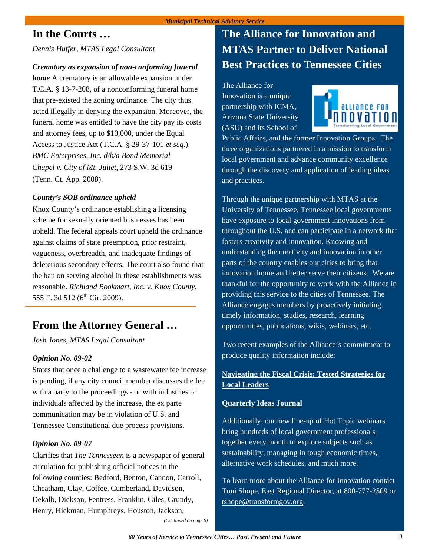### **In the Courts …**

*Dennis Huffer, MTAS Legal Consultant* 

#### *Crematory as expansion of non-conforming funeral*

*home* A crematory is an allowable expansion under T.C.A. § 13-7-208, of a nonconforming funeral home that pre-existed the zoning ordinance. The city thus acted illegally in denying the expansion. Moreover, the funeral home was entitled to have the city pay its costs and attorney fees, up to \$10,000, under the Equal Access to Justice Act (T.C.A. § 29-37-101 *et seq*.). *BMC Enterprises, Inc. d/b/a Bond Memorial Chapel v. City of Mt. Juliet*, 273 S.W. 3d 619 (Tenn. Ct. App. 2008).

#### *County's SOB ordinance upheld*

Knox County's ordinance establishing a licensing scheme for sexually oriented businesses has been upheld. The federal appeals court upheld the ordinance against claims of state preemption, prior restraint, vagueness, overbreadth, and inadequate findings of deleterious secondary effects. The court also found that the ban on serving alcohol in these establishments was reasonable. *Richland Bookmart, Inc. v. Knox County*, 555 F. 3d 512 (6<sup>th</sup> Cir. 2009).

### **From the Attorney General …**

*Josh Jones, MTAS Legal Consultant* 

#### *Opinion No. 09-02*

States that once a challenge to a wastewater fee increase is pending, if any city council member discusses the fee with a party to the proceedings - or with industries or individuals affected by the increase, the ex parte communication may be in violation of U.S. and Tennessee Constitutional due process provisions.

#### *Opinion No. 09-07*

Clarifies that *The Tennessean* is a newspaper of general circulation for publishing official notices in the following counties: Bedford, Benton, Cannon, Carroll, Cheatham, Clay, Coffee, Cumberland, Davidson, Dekalb, Dickson, Fentress, Franklin, Giles, Grundy, Henry, Hickman, Humphreys, Houston, Jackson,

# **The Alliance for Innovation and MTAS Partner to Deliver National Best Practices to Tennessee Cities**

The Alliance for Innovation is a unique partnership with ICMA, Arizona State University (ASU) and its School of



Public Affairs, and the former Innovation Groups. The three organizations partnered in a mission to transform local government and advance community excellence through the discovery and application of leading ideas and practices.

Through the unique partnership with MTAS at the University of Tennessee, Tennessee local governments have exposure to local government innovations from throughout the U.S. and can participate in a network that fosters creativity and innovation. Knowing and understanding the creativity and innovation in other parts of the country enables our cities to bring that innovation home and better serve their citizens. We are thankful for the opportunity to work with the Alliance in providing this service to the cities of Tennessee. The Alliance engages members by proactively initiating timely information, studies, research, learning opportunities, publications, wikis, webinars, etc.

Two recent examples of the Alliance's commitment to produce quality information include:

#### **Navigating the Fiscal Crisis: Tested Strategies for Local Leaders**

#### **Quarterly Ideas Journal**

Additionally, our new line-up of Hot Topic webinars bring hundreds of local government professionals together every month to explore subjects such as sustainability, managing in tough economic times, alternative work schedules, and much more.

To learn more about the Alliance for Innovation contact Toni Shope, East Regional Director, at 800-777-2509 or tshope@transformgov.org.

*(Continued on page 6)*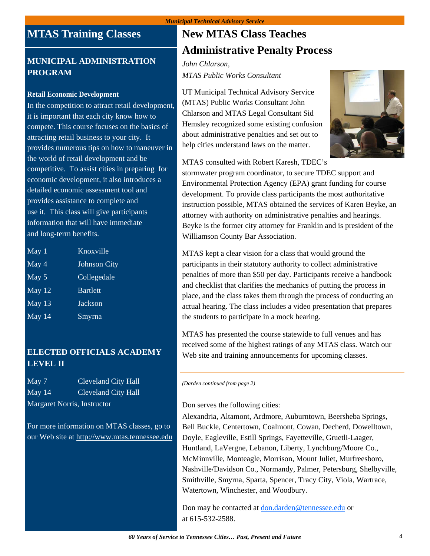# **MTAS Training Classes**

#### **MUNICIPAL ADMINISTRATION PROGRAM**

#### **Retail Economic Development**

In the competition to attract retail development, it is important that each city know how to compete. This course focuses on the basics of attracting retail business to your city. It provides numerous tips on how to maneuver in the world of retail development and be competitive. To assist cities in preparing for economic development, it also introduces a detailed economic assessment tool and provides assistance to complete and use it. This class will give participants information that will have immediate and long-term benefits.

| May 1                      | Knoxville           |
|----------------------------|---------------------|
| $\overline{\text{May }4}$  | <b>Johnson City</b> |
| May 5                      | Collegedale         |
| May $12$                   | <b>Bartlett</b>     |
| $\overline{\text{May }13}$ | Jackson             |
| May $14$                   | Smyrna              |
|                            |                     |

### **ELECTED OFFICIALS ACADEMY LEVEL II**

May 7 Cleveland City Hall May 14 Cleveland City Hall Margaret Norris, Instructor

For more information on MTAS classes, go to our Web site at http://www.mtas.tennessee.edu

# **New MTAS Class Teaches Administrative Penalty Process**

#### *John Chlarson, MTAS Public Works Consultant*

UT Municipal Technical Advisory Service (MTAS) Public Works Consultant John Chlarson and MTAS Legal Consultant Sid Hemsley recognized some existing confusion about administrative penalties and set out to help cities understand laws on the matter.



MTAS consulted with Robert Karesh, TDEC's

stormwater program coordinator, to secure TDEC support and Environmental Protection Agency (EPA) grant funding for course development. To provide class participants the most authoritative instruction possible, MTAS obtained the services of Karen Beyke, an attorney with authority on administrative penalties and hearings. Beyke is the former city attorney for Franklin and is president of the Williamson County Bar Association.

MTAS kept a clear vision for a class that would ground the participants in their statutory authority to collect administrative penalties of more than \$50 per day. Participants receive a handbook and checklist that clarifies the mechanics of putting the process in place, and the class takes them through the process of conducting an actual hearing. The class includes a video presentation that prepares the students to participate in a mock hearing.

MTAS has presented the course statewide to full venues and has received some of the highest ratings of any MTAS class. Watch our Web site and training announcements for upcoming classes.

*(Darden continued from page 2)* 

#### Don serves the following cities:

Alexandria, Altamont, Ardmore, Auburntown, Beersheba Springs, Bell Buckle, Centertown, Coalmont, Cowan, Decherd, Dowelltown, Doyle, Eagleville, Estill Springs, Fayetteville, Gruetli-Laager, Huntland, LaVergne, Lebanon, Liberty, Lynchburg/Moore Co., McMinnville, Monteagle, Morrison, Mount Juliet, Murfreesboro, Nashville/Davidson Co., Normandy, Palmer, Petersburg, Shelbyville, Smithville, Smyrna, Sparta, Spencer, Tracy City, Viola, Wartrace, Watertown, Winchester, and Woodbury.

Don may be contacted at don.darden@tennessee.edu or at 615-532-2588.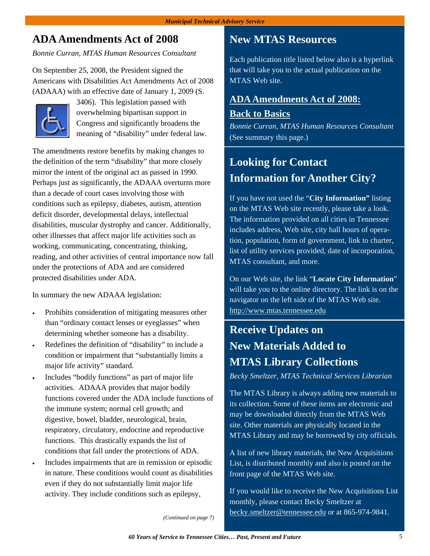# **ADA Amendments Act of 2008**

*Bonnie Curran, MTAS Human Resources Consultant* 

On September 25, 2008, the President signed the Americans with Disabilities Act Amendments Act of 2008 (ADAAA) with an effective date of January 1, 2009 (S.



3406). This legislation passed with overwhelming bipartisan support in Congress and significantly broadens the meaning of "disability" under federal law.

The amendments restore benefits by making changes to the definition of the term "disability" that more closely mirror the intent of the original act as passed in 1990. Perhaps just as significantly, the ADAAA overturns more than a decade of court cases involving those with conditions such as epilepsy, diabetes, autism, attention deficit disorder, developmental delays, intellectual disabilities, muscular dystrophy and cancer. Additionally, other illnesses that affect major life activities such as working, communicating, concentrating, thinking, reading, and other activities of central importance now fall under the protections of ADA and are considered protected disabilities under ADA.

In summary the new ADAAA legislation:

- Prohibits consideration of mitigating measures other than "ordinary contact lenses or eyeglasses" when determining whether someone has a disability.
- Redefines the definition of "disability" to include a condition or impairment that "substantially limits a major life activity" standard.
- Includes "bodily functions" as part of major life activities. ADAAA provides that major bodily functions covered under the ADA include functions of the immune system; normal cell growth; and digestive, bowel, bladder, neurological, brain, respiratory, circulatory, endocrine and reproductive functions. This drastically expands the list of conditions that fall under the protections of ADA.
- Includes impairments that are in remission or episodic in nature. These conditions would count as disabilities even if they do not substantially limit major life activity. They include conditions such as epilepsy,

### **New MTAS Resources**

Each publication title listed below also is a hyperlink that will take you to the actual publication on the MTAS Web site.

### **[ADA Amendments Act of 2008:](http://www.mtas.tennessee.edu/public/MTASPUBS.NSF/All/7D83AD02692226C785257584005A64E9?OpenDocument)**

#### **Back to Basics**

*Bonnie Curran, MTAS Human Resources Consultant*  (See summary this page.)

# **Looking for Contact Information for Another City?**

If you have not used the "**City Information"** listing on the MTAS Web site recently, please take a look. The information provided on all cities in Tennessee includes address, Web site, city hall hours of operation, population, form of government, link to charter, list of utility services provided, date of incorporation, MTAS consultant, and more.

On our Web site, the link "**Locate City Information**" will take you to the online directory. The link is on the navigator on the left side of the MTAS Web site. http://www.mtas.tennessee.edu

# **Receive Updates on New Materials Added to MTAS Library Collections**

*Becky Smeltzer, MTAS Technical Services Librarian* 

The MTAS Library is always adding new materials to its collection. Some of these items are electronic and may be downloaded directly from the MTAS Web site. Other materials are physically located in the MTAS Library and may be borrowed by city officials.

A list of new library materials, the New Acquisitions List, is distributed monthly and also is posted on the front page of the MTAS Web site.

If you would like to receive the New Acquisitions List monthly, please contact Becky Smeltzer at becky.smeltzer@tennessee.edu or at 865-974-9841.

*(Continued on page 7)*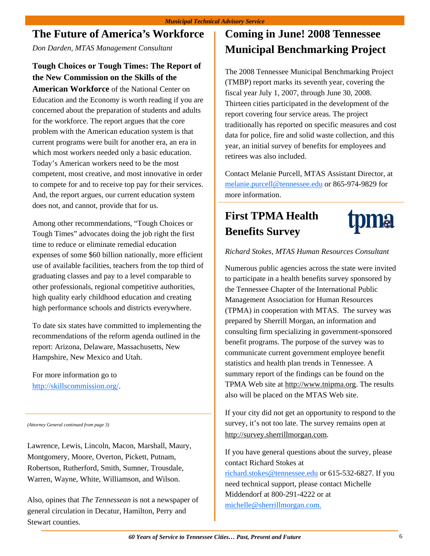# **The Future of America's Workforce**

*Don Darden, MTAS Management Consultant* 

### **Tough Choices or Tough Times: The Report of the New Commission on the Skills of the**

**American Workforce** of the National Center on Education and the Economy is worth reading if you are concerned about the preparation of students and adults for the workforce. The report argues that the core problem with the American education system is that current programs were built for another era, an era in which most workers needed only a basic education. Today's American workers need to be the most competent, most creative, and most innovative in order to compete for and to receive top pay for their services. And, the report argues, our current education system does not, and cannot, provide that for us.

Among other recommendations, "Tough Choices or Tough Times" advocates doing the job right the first time to reduce or eliminate remedial education expenses of some \$60 billion nationally, more efficient use of available facilities, teachers from the top third of graduating classes and pay to a level comparable to other professionals, regional competitive authorities, high quality early childhood education and creating high performance schools and districts everywhere.

To date six states have committed to implementing the recommendations of the reform agenda outlined in the report: Arizona, Delaware, Massachusetts, New Hampshire, New Mexico and Utah.

For more information go to http://skillscommission.org/.

*(Attorney General continued from page 3)* 

Lawrence, Lewis, Lincoln, Macon, Marshall, Maury, Montgomery, Moore, Overton, Pickett, Putnam, Robertson, Rutherford, Smith, Sumner, Trousdale, Warren, Wayne, White, Williamson, and Wilson.

Also, opines that *The Tennessean* is not a newspaper of general circulation in Decatur, Hamilton, Perry and Stewart counties.

# **Coming in June! 2008 Tennessee Municipal Benchmarking Project**

The 2008 Tennessee Municipal Benchmarking Project (TMBP) report marks its seventh year, covering the fiscal year July 1, 2007, through June 30, 2008. Thirteen cities participated in the development of the report covering four service areas. The project traditionally has reported on specific measures and cost data for police, fire and solid waste collection, and this year, an initial survey of benefits for employees and retirees was also included.

Contact Melanie Purcell, MTAS Assistant Director, at melanie.purcell@tennessee.edu or 865-974-9829 for more information.

# **First TPMA Health Benefits Survey**



#### *Richard Stokes, MTAS Human Resources Consultant*

Numerous public agencies across the state were invited to participate in a health benefits survey sponsored by the Tennessee Chapter of the International Public Management Association for Human Resources (TPMA) in cooperation with MTAS. The survey was prepared by Sherrill Morgan, an information and consulting firm specializing in government-sponsored benefit programs. The purpose of the survey was to communicate current government employee benefit statistics and health plan trends in Tennessee. A summary report of the findings can be found on the TPMA Web site at http://www.tnipma.org. The results also will be placed on the MTAS Web site.

If your city did not get an opportunity to respond to the survey, it's not too late. The survey remains open at http://survey.sherrillmorgan.com.

If you have general questions about the survey, please contact Richard Stokes at richard.stokes@tennessee.edu or 615-532-6827. If you need technical support, please contact Michelle

Middendorf at 800-291-4222 or at michelle@sherrillmorgan.com.